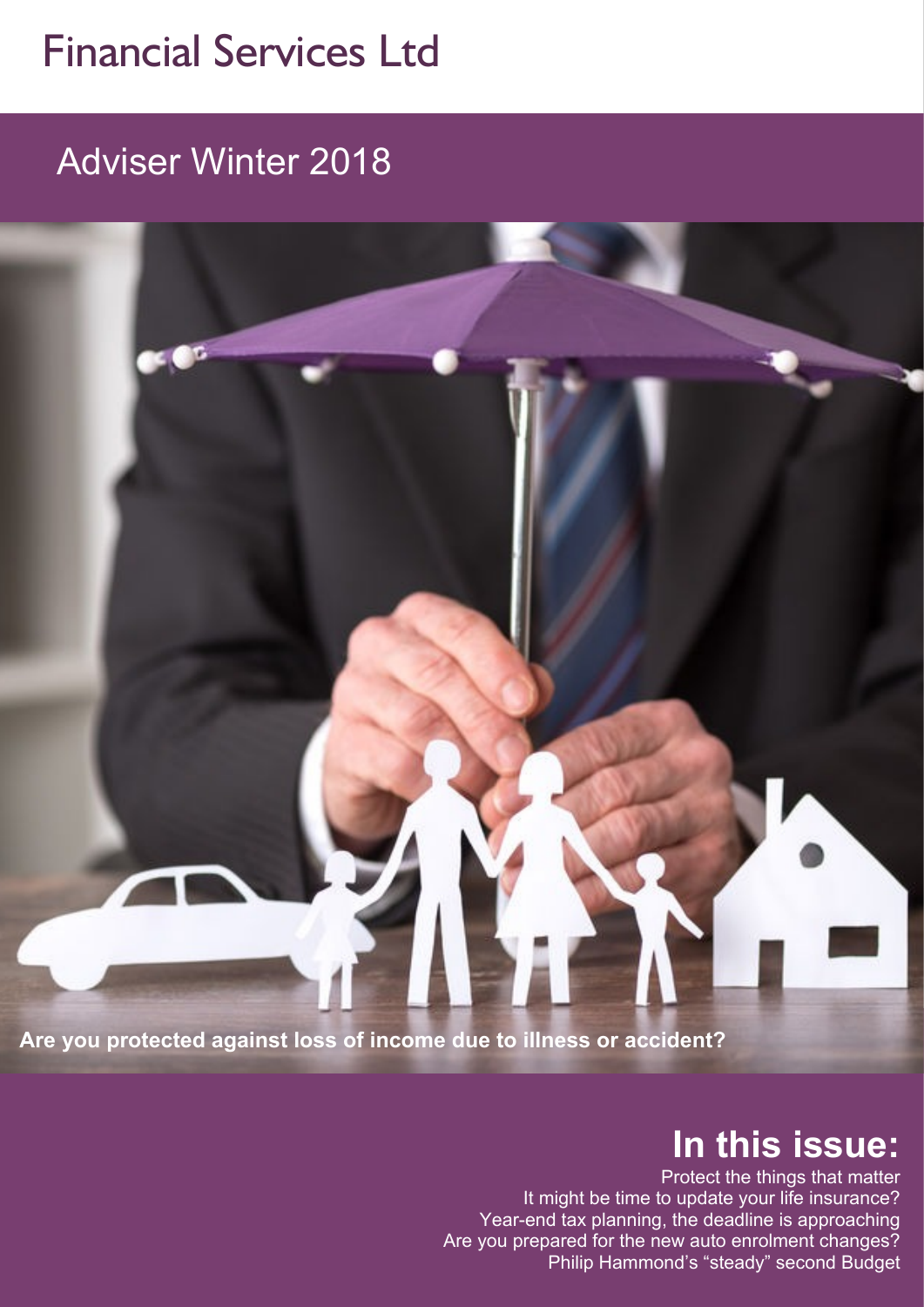## Financial Services Ltd

Adviser Winter 2018

**Are you protected against loss of income due to illness or accident?**

## **In this issue:**

Protect the things that matter It might be time to update your life insurance? Year-end tax planning, the deadline is approaching Are you prepared for the new auto enrolment changes? Philip Hammond's "steady" second Budget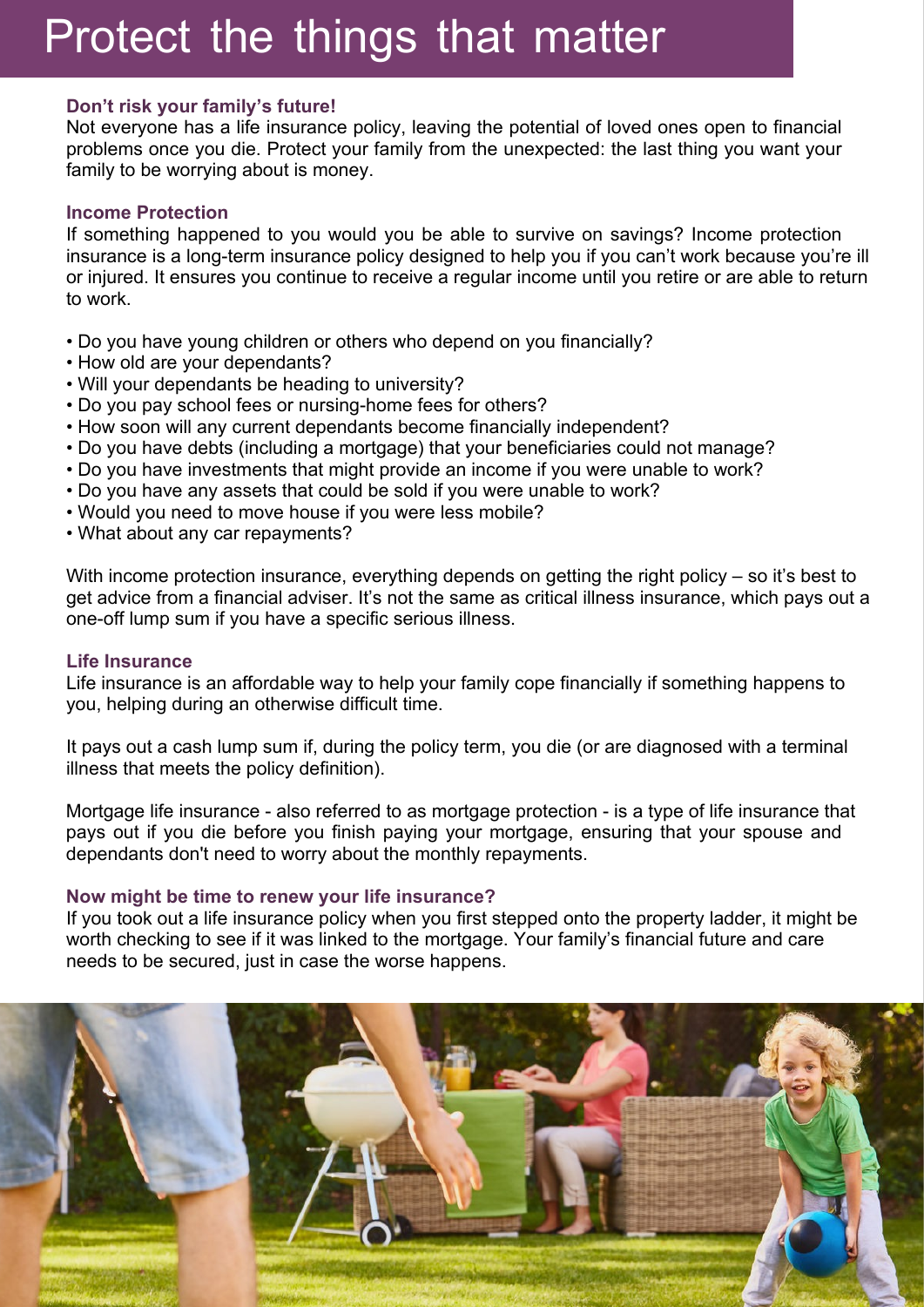# Protect the things that matter

#### **Don't risk your family's future!**

Not everyone has a life insurance policy, leaving the potential of loved ones open to financial problems once you die. Protect your family from the unexpected: the last thing you want your family to be worrying about is money.

#### **Income Protection**

If something happened to you would you be able to survive on savings? Income protection insurance is a long-term insurance policy designed to help you if you can't work because you're ill or injured. It ensures you continue to receive a regular income until you retire or are able to return to work.

- Do you have young children or others who depend on you financially?
- How old are your dependants?
- Will your dependants be heading to university?
- Do you pay school fees or nursing-home fees for others?
- How soon will any current dependants become financially independent?
- Do you have debts (including a mortgage) that your beneficiaries could not manage?
- Do you have investments that might provide an income if you were unable to work?
- Do you have any assets that could be sold if you were unable to work?
- Would you need to move house if you were less mobile?
- What about any car repayments?

With income protection insurance, everything depends on getting the right policy – so it's best to get advice from a financial adviser. It's not the same as critical illness insurance, which pays out a one-off lump sum if you have a specific serious illness.

#### **Life Insurance**

Life insurance is an affordable way to help your family cope financially if something happens to you, helping during an otherwise difficult time.

It pays out a cash lump sum if, during the policy term, you die (or are diagnosed with a terminal illness that meets the policy definition).

Mortgage life insurance - also referred to as mortgage protection - is a type of life insurance that pays out if you die before you finish paying your mortgage, ensuring that your spouse and dependants don't need to worry about the monthly repayments.

#### **Now might be time to renew your life insurance?**

If you took out a life insurance policy when you first stepped onto the property ladder, it might be worth checking to see if it was linked to the mortgage. Your family's financial future and care needs to be secured, just in case the worse happens.

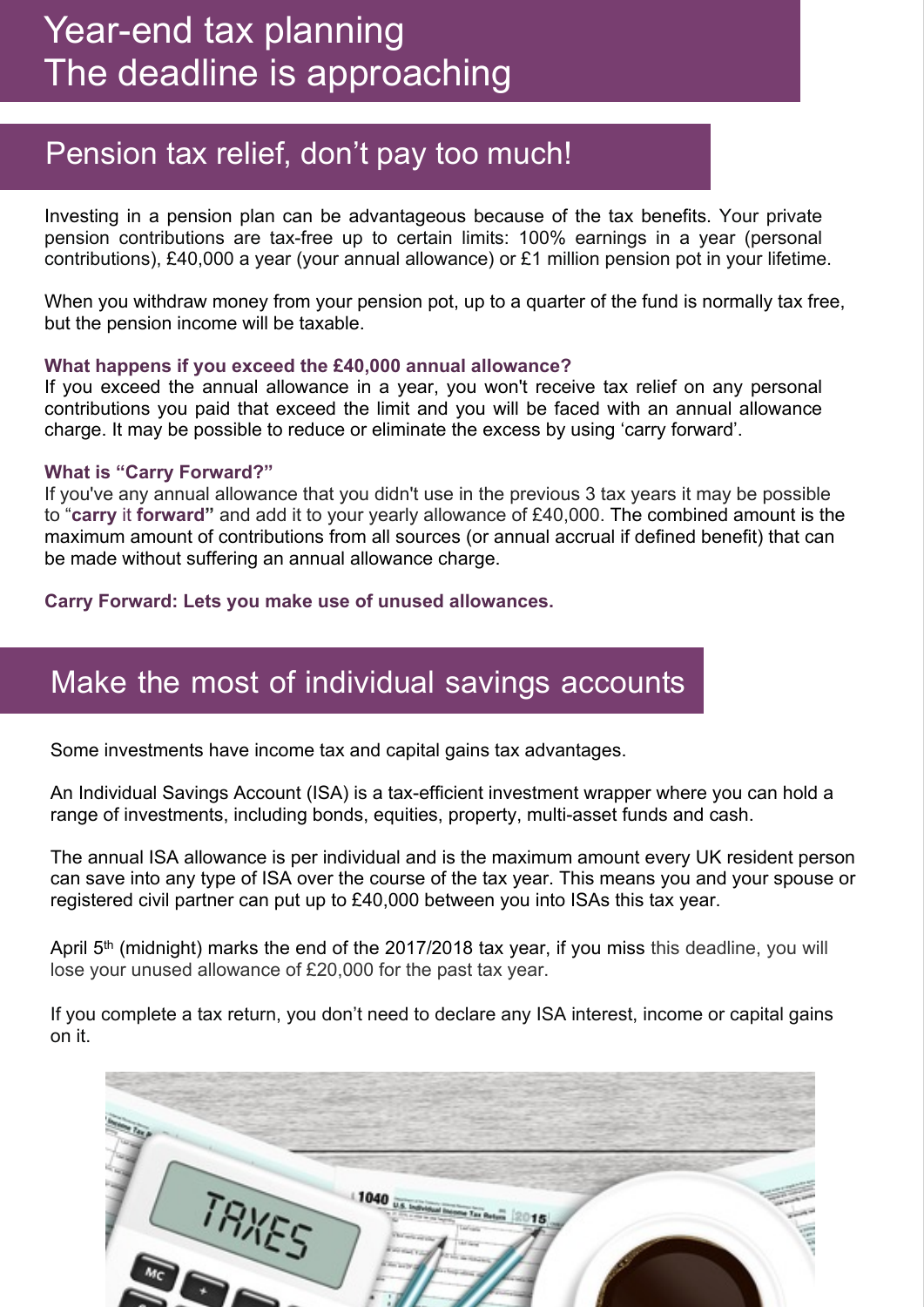### Pension tax relief, don't pay too much!

Investing in a pension plan can be advantageous because of the tax benefits. Your private pension contributions are tax-free up to certain limits: 100% earnings in a year (personal contributions), £40,000 a year (your annual allowance) or £1 million pension pot in your lifetime.

When you withdraw money from your pension pot, up to a quarter of the fund is normally tax free, but the pension income will be taxable.

#### **What happens if you exceed the £40,000 annual allowance?**

If you exceed the annual allowance in a year, you won't receive tax relief on any personal contributions you paid that exceed the limit and you will be faced with an annual allowance charge. It may be possible to reduce or eliminate the excess by using 'carry forward'.

#### **What is "Carry Forward?"**

If you've any annual allowance that you didn't use in the previous 3 tax years it may be possible to "**carry** it **forward"** and add it to your yearly allowance of £40,000. The combined amount is the maximum amount of contributions from all sources (or annual accrual if defined benefit) that can be made without suffering an annual allowance charge.

**Carry Forward: Lets you make use of unused allowances.**

### Make the most of individual savings accounts

Some investments have income tax and capital gains tax advantages.

An Individual Savings Account (ISA) is a tax-efficient investment wrapper where you can hold a range of investments, including bonds, equities, property, multi-asset funds and cash.

The annual ISA allowance is per individual and is the maximum amount every UK resident person can save into any type of ISA over the course of the tax year. This means you and your spouse or registered civil partner can put up to £40,000 between you into ISAs this tax year.

April 5<sup>th</sup> (midnight) marks the end of the 2017/2018 tax year, if you miss this deadline, you will lose your unused allowance of £20,000 for the past tax year.

If you complete a tax return, you don't need to declare any ISA interest, income or capital gains on it.

|    | TRIVES | 1040 us banks | 15 |  |
|----|--------|---------------|----|--|
|    |        |               |    |  |
| Мc |        |               |    |  |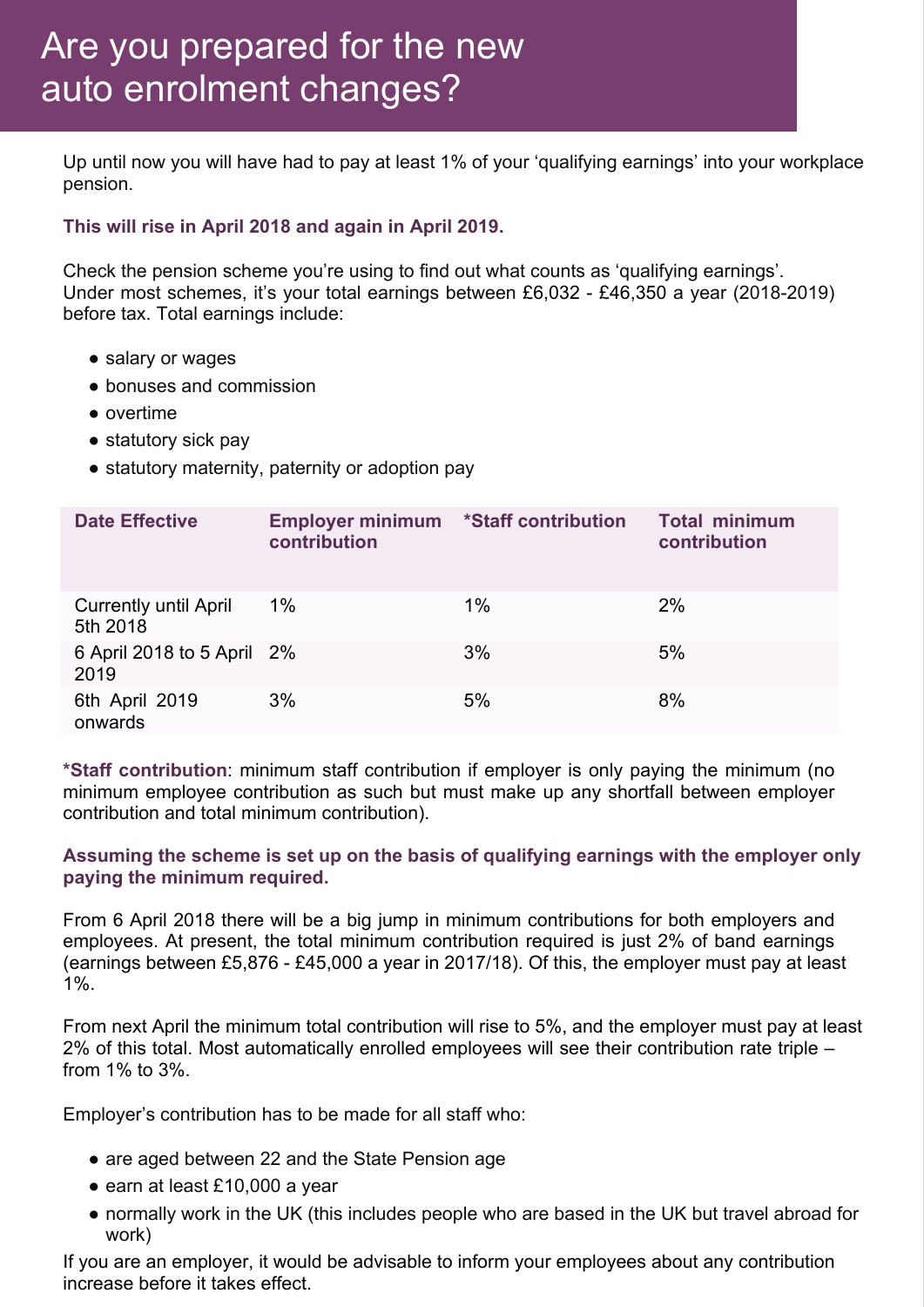Up until now you will have had to pay at least 1% of your 'qualifying earnings' into your workplace pension.

#### **This will rise in April 2018 and again in April 2019.**

Check the pension scheme you're using to find out what counts as 'qualifying earnings'. Under most schemes, it's your total earnings between £6,032 - £46,350 a year (2018-2019) before tax. Total earnings include:

- salary or wages
- bonuses and commission
- overtime
- statutory sick pay
- statutory maternity, paternity or adoption pay

| <b>Date Effective</b>                    | <b>Employer minimum *Staff contribution</b><br>contribution |       | <b>Total minimum</b><br>contribution |
|------------------------------------------|-------------------------------------------------------------|-------|--------------------------------------|
| <b>Currently until April</b><br>5th 2018 | 1%                                                          | $1\%$ | 2%                                   |
| 6 April 2018 to 5 April 2%<br>2019       |                                                             | 3%    | 5%                                   |
| 6th April 2019<br>onwards                | 3%                                                          | 5%    | 8%                                   |

**\*Staff contribution**: minimum staff contribution if employer is only paying the minimum (no minimum employee contribution as such but must make up any shortfall between employer contribution and total minimum contribution).

#### **Assuming the scheme is set up on the basis of qualifying earnings with the employer only paying the minimum required.**

From 6 April 2018 there will be a big jump in minimum contributions for both employers and employees. At present, the total minimum contribution required is just 2% of band earnings (earnings between £5,876 - £45,000 a year in 2017/18). Of this, the employer must pay at least 1%.

From next April the minimum total contribution will rise to 5%, and the employer must pay at least 2% of this total. Most automatically enrolled employees will see their contribution rate triple – from 1% to 3%.

Employer's contribution has to be made for all staff who:

- are aged between 22 and the State Pension age
- earn at least £10,000 a year
- normally work in the UK (this includes people who are based in the UK but travel abroad for work)

If you are an employer, it would be advisable to inform your employees about any contribution increase before it takes effect.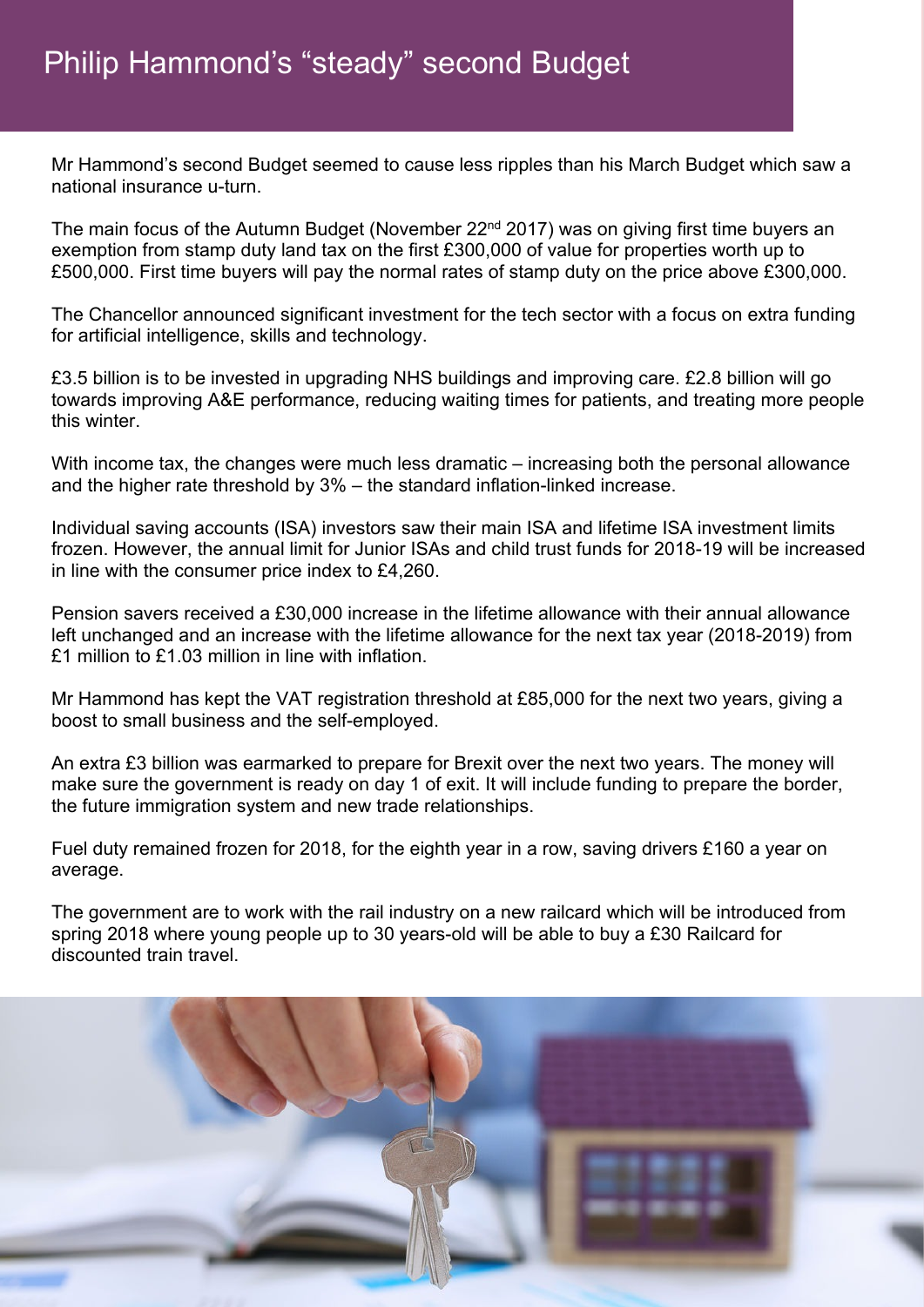Mr Hammond's second Budget seemed to cause less ripples than his March Budget which saw a national insurance u-turn.

The main focus of the Autumn Budget (November 22<sup>nd</sup> 2017) was on giving first time buyers an exemption from stamp duty land tax on the first £300,000 of value for properties worth up to £500,000. First time buyers will pay the normal rates of stamp duty on the price above £300,000.

The Chancellor announced significant investment for the tech sector with a focus on extra funding for artificial intelligence, skills and technology.

£3.5 billion is to be invested in upgrading NHS buildings and improving care. £2.8 billion will go towards improving A&E performance, reducing waiting times for patients, and treating more people this winter.

With income tax, the changes were much less dramatic – increasing both the personal allowance and the higher rate threshold by 3% – the standard inflation-linked increase.

Individual saving accounts (ISA) investors saw their main ISA and lifetime ISA investment limits frozen. However, the annual limit for Junior ISAs and child trust funds for 2018-19 will be increased in line with the consumer price index to £4,260.

Pension savers received a £30,000 increase in the lifetime allowance with their annual allowance left unchanged and an increase with the lifetime allowance for the next tax year (2018-2019) from  $f1$  million to  $f1.03$  million in line with inflation.

Mr Hammond has kept the VAT registration threshold at £85,000 for the next two years, giving a boost to small business and the self-employed.

An extra £3 billion was earmarked to prepare for Brexit over the next two years. The money will make sure the government is ready on day 1 of exit. It will include funding to prepare the border, the future immigration system and new trade relationships.

Fuel duty remained frozen for 2018, for the eighth year in a row, saving drivers £160 a year on average.

The government are to work with the rail industry on a new railcard which will be introduced from spring 2018 where young people up to 30 years-old will be able to buy a £30 Railcard for discounted train travel.